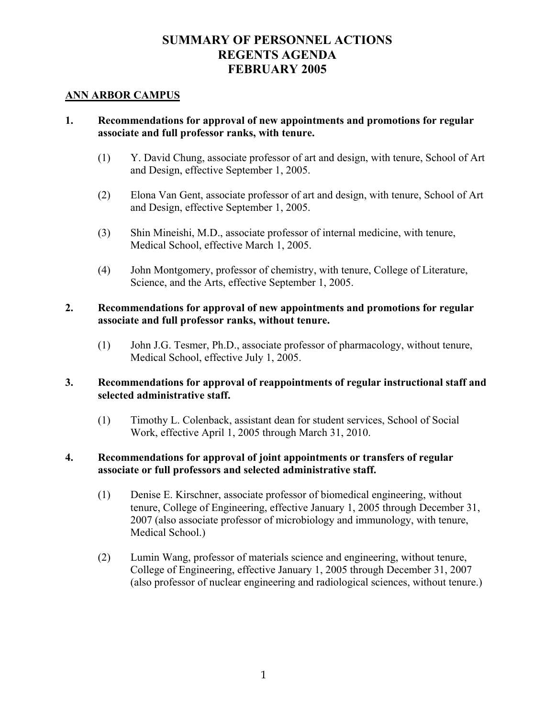# **SUMMARY OF PERSONNEL ACTIONS REGENTS AGENDA FEBRUARY 2005**

### **ANN ARBOR CAMPUS**

### **1. Recommendations for approval of new appointments and promotions for regular associate and full professor ranks, with tenure.**

- (1) Y. David Chung, associate professor of art and design, with tenure, School of Art and Design, effective September 1, 2005.
- (2) Elona Van Gent, associate professor of art and design, with tenure, School of Art and Design, effective September 1, 2005.
- (3) Shin Mineishi, M.D., associate professor of internal medicine, with tenure, Medical School, effective March 1, 2005.
- (4) John Montgomery, professor of chemistry, with tenure, College of Literature, Science, and the Arts, effective September 1, 2005.

### **2. Recommendations for approval of new appointments and promotions for regular associate and full professor ranks, without tenure.**

(1) John J.G. Tesmer, Ph.D., associate professor of pharmacology, without tenure, Medical School, effective July 1, 2005.

#### **3. Recommendations for approval of reappointments of regular instructional staff and selected administrative staff.**

 (1) Timothy L. Colenback, assistant dean for student services, School of Social Work, effective April 1, 2005 through March 31, 2010.

### **4. Recommendations for approval of joint appointments or transfers of regular associate or full professors and selected administrative staff.**

- (1) Denise E. Kirschner, associate professor of biomedical engineering, without tenure, College of Engineering, effective January 1, 2005 through December 31, 2007 (also associate professor of microbiology and immunology, with tenure, Medical School.)
- (2) Lumin Wang, professor of materials science and engineering, without tenure, College of Engineering, effective January 1, 2005 through December 31, 2007 (also professor of nuclear engineering and radiological sciences, without tenure.)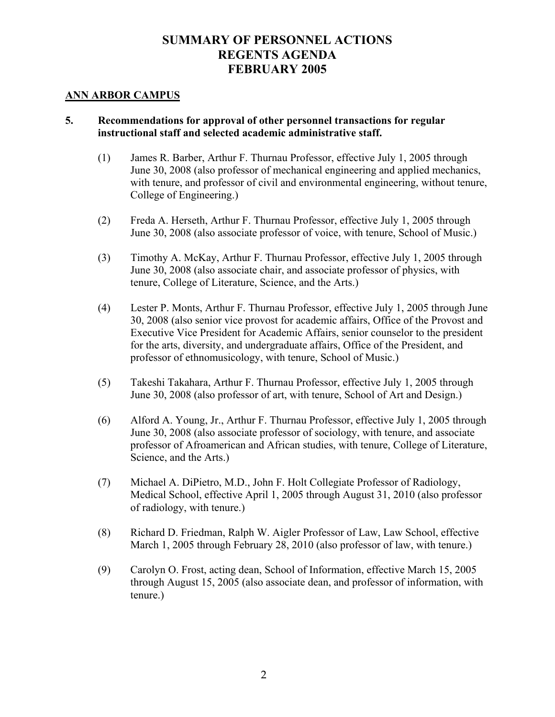# **SUMMARY OF PERSONNEL ACTIONS REGENTS AGENDA FEBRUARY 2005**

#### **ANN ARBOR CAMPUS**

### **5. Recommendations for approval of other personnel transactions for regular instructional staff and selected academic administrative staff.**

- (1) James R. Barber, Arthur F. Thurnau Professor, effective July 1, 2005 through June 30, 2008 (also professor of mechanical engineering and applied mechanics, with tenure, and professor of civil and environmental engineering, without tenure, College of Engineering.)
- (2) Freda A. Herseth, Arthur F. Thurnau Professor, effective July 1, 2005 through June 30, 2008 (also associate professor of voice, with tenure, School of Music.)
- (3) Timothy A. McKay, Arthur F. Thurnau Professor, effective July 1, 2005 through June 30, 2008 (also associate chair, and associate professor of physics, with tenure, College of Literature, Science, and the Arts.)
- (4) Lester P. Monts, Arthur F. Thurnau Professor, effective July 1, 2005 through June 30, 2008 (also senior vice provost for academic affairs, Office of the Provost and Executive Vice President for Academic Affairs, senior counselor to the president for the arts, diversity, and undergraduate affairs, Office of the President, and professor of ethnomusicology, with tenure, School of Music.)
- (5) Takeshi Takahara, Arthur F. Thurnau Professor, effective July 1, 2005 through June 30, 2008 (also professor of art, with tenure, School of Art and Design.)
- (6) Alford A. Young, Jr., Arthur F. Thurnau Professor, effective July 1, 2005 through June 30, 2008 (also associate professor of sociology, with tenure, and associate professor of Afroamerican and African studies, with tenure, College of Literature, Science, and the Arts.)
- (7) Michael A. DiPietro, M.D., John F. Holt Collegiate Professor of Radiology, Medical School, effective April 1, 2005 through August 31, 2010 (also professor of radiology, with tenure.)
- (8) Richard D. Friedman, Ralph W. Aigler Professor of Law, Law School, effective March 1, 2005 through February 28, 2010 (also professor of law, with tenure.)
- (9) Carolyn O. Frost, acting dean, School of Information, effective March 15, 2005 through August 15, 2005 (also associate dean, and professor of information, with tenure.)